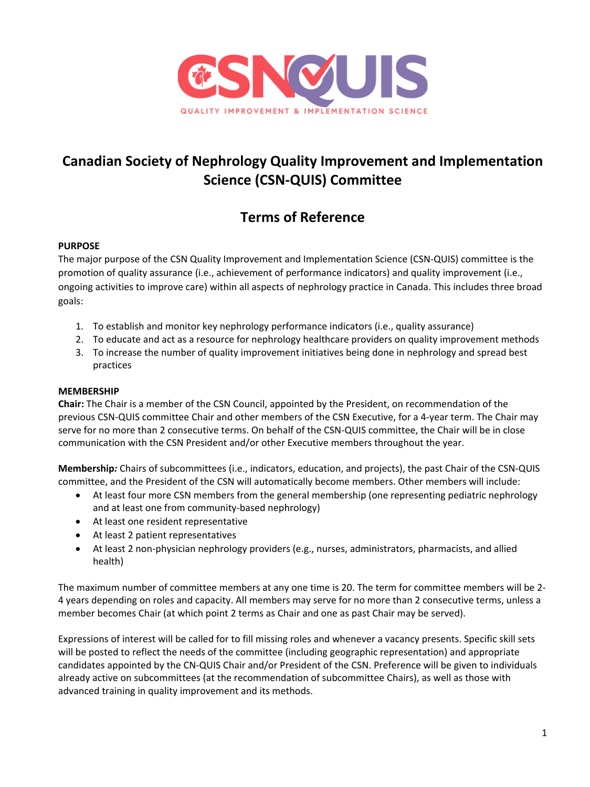

# **Canadian Society of Nephrology Quality Improvement and Implementation Science (CSN-QUIS) Committee**

## **Terms of Reference**

## **PURPOSE**

The major purpose of the CSN Quality Improvement and Implementation Science (CSN-QUIS) committee is the promotion of quality assurance (i.e., achievement of performance indicators) and quality improvement (i.e., ongoing activities to improve care) within all aspects of nephrology practice in Canada. This includes three broad goals:

- 1. To establish and monitor key nephrology performance indicators (i.e., quality assurance)
- 2. To educate and act as a resource for nephrology healthcare providers on quality improvement methods
- 3. To increase the number of quality improvement initiatives being done in nephrology and spread best practices

### **MEMBERSHIP**

**Chair:** The Chair is a member of the CSN Council, appointed by the President, on recommendation of the previous CSN-QUIS committee Chair and other members of the CSN Executive, for a 4-year term. The Chair may serve for no more than 2 consecutive terms. On behalf of the CSN-QUIS committee, the Chair will be in close communication with the CSN President and/or other Executive members throughout the year.

**Membership***:* Chairs of subcommittees (i.e., indicators, education, and projects), the past Chair of the CSN-QUIS committee, and the President of the CSN will automatically become members. Other members will include:

- At least four more CSN members from the general membership (one representing pediatric nephrology and at least one from community-based nephrology)
- At least one resident representative
- At least 2 patient representatives
- At least 2 non-physician nephrology providers (e.g., nurses, administrators, pharmacists, and allied health)

The maximum number of committee members at any one time is 20. The term for committee members will be 2- 4 years depending on roles and capacity. All members may serve for no more than 2 consecutive terms, unless a member becomes Chair (at which point 2 terms as Chair and one as past Chair may be served).

Expressions of interest will be called for to fill missing roles and whenever a vacancy presents. Specific skill sets will be posted to reflect the needs of the committee (including geographic representation) and appropriate candidates appointed by the CN-QUIS Chair and/or President of the CSN. Preference will be given to individuals already active on subcommittees (at the recommendation of subcommittee Chairs), as well as those with advanced training in quality improvement and its methods.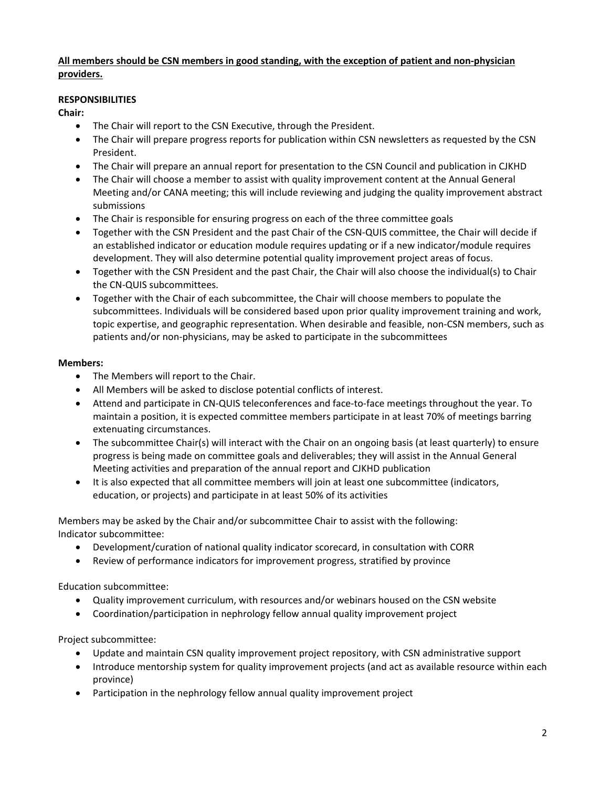## **All members should be CSN members in good standing, with the exception of patient and non-physician providers.**

## **RESPONSIBILITIES**

**Chair:**

- The Chair will report to the CSN Executive, through the President.
- The Chair will prepare progress reports for publication within CSN newsletters as requested by the CSN President.
- The Chair will prepare an annual report for presentation to the CSN Council and publication in CJKHD
- The Chair will choose a member to assist with quality improvement content at the Annual General Meeting and/or CANA meeting; this will include reviewing and judging the quality improvement abstract submissions
- The Chair is responsible for ensuring progress on each of the three committee goals
- Together with the CSN President and the past Chair of the CSN-QUIS committee, the Chair will decide if an established indicator or education module requires updating or if a new indicator/module requires development. They will also determine potential quality improvement project areas of focus.
- Together with the CSN President and the past Chair, the Chair will also choose the individual(s) to Chair the CN-QUIS subcommittees.
- Together with the Chair of each subcommittee, the Chair will choose members to populate the subcommittees. Individuals will be considered based upon prior quality improvement training and work, topic expertise, and geographic representation. When desirable and feasible, non-CSN members, such as patients and/or non-physicians, may be asked to participate in the subcommittees

### **Members:**

- The Members will report to the Chair.
- All Members will be asked to disclose potential conflicts of interest.
- Attend and participate in CN-QUIS teleconferences and face-to-face meetings throughout the year. To maintain a position, it is expected committee members participate in at least 70% of meetings barring extenuating circumstances.
- The subcommittee Chair(s) will interact with the Chair on an ongoing basis (at least quarterly) to ensure progress is being made on committee goals and deliverables; they will assist in the Annual General Meeting activities and preparation of the annual report and CJKHD publication
- It is also expected that all committee members will join at least one subcommittee (indicators, education, or projects) and participate in at least 50% of its activities

Members may be asked by the Chair and/or subcommittee Chair to assist with the following: Indicator subcommittee:

- Development/curation of national quality indicator scorecard, in consultation with CORR
- Review of performance indicators for improvement progress, stratified by province

Education subcommittee:

- Quality improvement curriculum, with resources and/or webinars housed on the CSN website
- Coordination/participation in nephrology fellow annual quality improvement project

Project subcommittee:

- Update and maintain CSN quality improvement project repository, with CSN administrative support
- Introduce mentorship system for quality improvement projects (and act as available resource within each province)
- Participation in the nephrology fellow annual quality improvement project